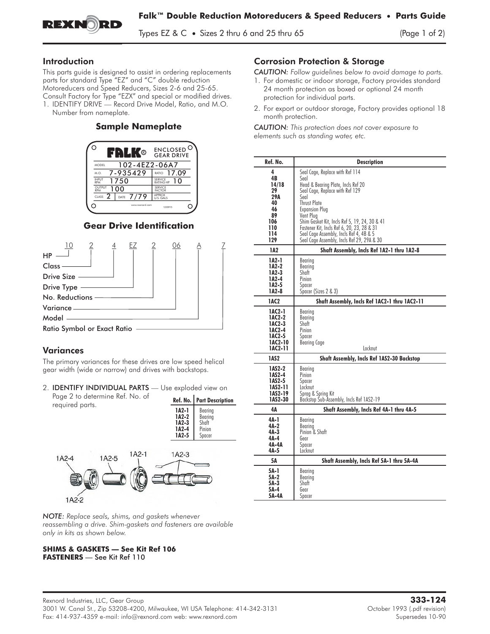

Types EZ &  $C \bullet$  Sizes 2 thru 6 and 25 thru 65 (Page 1 of 2)

## Introduction

This parts guide is designed to assist in ordering replacements parts for standard Type "EZ" and "C" double reduction Motoreducers and Speed Reducers, Sizes 2-6 and 25-65. Consult Factory for Type "EZX" and special or modified drives.<br>1. IDENTIFY DRIVE — Record Drive Model, Ratio, and M.O. This parts guide is designed to assist in ordering replacement<br>parts for standard Type "EZ" and "C" double reduction<br>Motoreducers and Speed Reducers, Sizes 2-6 and 25-65.<br>Consult Factory for Type "EZX" and special or modif

Number from nameplate.

## **Sample Nameplate**



## **Gear Drive Identification**



# Variances

The primary variances for these drives are low speed helical gear width (wide or narrow) and drives with backstops.

2. **IDENTIFY INDIVIDUAL PARTS** - Use exploded view on Page 2 to determine Ref. No. of required parts.

| <b>Part Description</b>                         |
|-------------------------------------------------|
| Bearing<br>Bearing<br>Shaft<br>Pinion<br>Spacer |
|                                                 |



*NOTE: Replace seals, shims, and gaskets whenever reassembling a drive. Shim-gaskets and fasteners are available only in kits as shown below.*

#### **SHIMS & GASKETS — See Kit Ref 106 FASTENERS** — See Kit Ref 110

## Corrosion Protection & Storage

*CAUTION: Follow guidelines below to avoid damage to parts.*

- 1. For domestic or indoor storage, Factory provides standard 24 month protection as boxed or optional 24 month protection for individual parts.
- 2. For export or outdoor storage, Factory provides optional 18 month protection.

*CAUTION: This protection does not cover exposure to elements such as standing water, etc.*

| Ref. No. | <b>Description</b>                                |
|----------|---------------------------------------------------|
| 4        | Seal Cage, Replace with Ref 114                   |
| 4B       | Seal                                              |
| 14/18    | Head & Bearing Plate, Incls Ref 20                |
| 29       | Seal Cage, Replace with Ref 129                   |
| 29A      | Seal                                              |
| 40       | <b>Thrust Plate</b>                               |
| 46       | <b>Expansion Plug</b>                             |
| 89       | Vent Plug                                         |
| 106      | Shim Gasket Kit, Incls Ref 5, 19, 24, 30 & 41     |
| 110      | Fastener Kit, Incls Ref 6, 20, 23, 28 & 31        |
| 114      | Seal Cage Assembly, Incls Ref 4, 4B & 5           |
| 129      | Seal Cage Assembly, Incls Ref 29, 29A & 30        |
| 1A2      | Shaft Assembly, Incls Ref 1A2-1 thru 1A2-8        |
| 1A2-1    | Bearing                                           |
| 1A2-2    | Bearing                                           |
| 1A2-3    | Shaft                                             |
| 1A2-4    | Pinion                                            |
| 1A2-5    | Spacer                                            |
| 1A2-8    | Spacer (Sizes 2 & 3)                              |
| 1AC2     | Shaft Assembly, Incls Ref 1AC2-1 thru 1AC2-11     |
| 1AC2-1   | Bearing                                           |
| 1AC2-2   | Bearing                                           |
| 1AC2-3   | Shatt                                             |
| 1AC2-4   | Pinion                                            |
| 1AC2-5   | Spacer                                            |
| 1AC2-10  | Bearing Cage                                      |
| 1AC2-11  | Locknut                                           |
| 1AS2     | <b>Shaft Assembly, Incls Ref 1AS2-30 Backstop</b> |
| 1AS2-2   | Bearing                                           |
| 1AS2-4   | Pinion                                            |
| 1AS2-5   | Spacer                                            |
| 1AS2-11  | Locknut                                           |
| 1AS2-19  | Sprag & Spring Kit                                |
| 1AS2-30  | Backstop Sub-Assembly, Incls Ref 1AS2-19          |
| 4Α       | Shaft Assembly, Incls Ref 4A-1 thru 4A-5          |
| 4A-1     | Bearing                                           |
| 4A-2     | Bearina                                           |
| 4A-3     | Pinion & Shaft                                    |
| 4A-4     | Gear                                              |
| 4A-4A    | Spacer                                            |
| $4A-5$   | Locknut                                           |
| 5Α       | Shaft Assembly, Incls Ref 5A-1 thru 5A-4A         |
| 5A-1     | Bearing                                           |
| 5A-2     | Bearing                                           |
| 5A-3     | Shatt                                             |
| 5A-4     | Gear                                              |
| 5A-4A    | Spacer                                            |